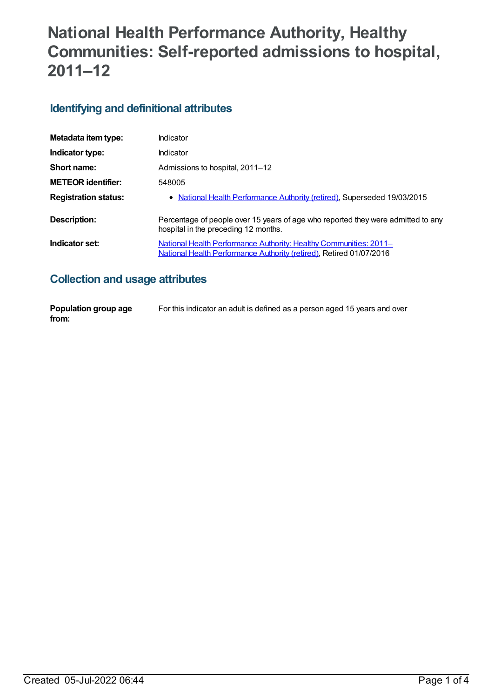# **National Health Performance Authority, Healthy Communities: Self-reported admissions to hospital, 2011–12**

# **Identifying and definitional attributes**

| Metadata item type:         | Indicator                                                                                                                                       |
|-----------------------------|-------------------------------------------------------------------------------------------------------------------------------------------------|
| Indicator type:             | Indicator                                                                                                                                       |
| Short name:                 | Admissions to hospital, 2011–12                                                                                                                 |
| <b>METEOR identifier:</b>   | 548005                                                                                                                                          |
| <b>Registration status:</b> | • National Health Performance Authority (retired), Superseded 19/03/2015                                                                        |
| Description:                | Percentage of people over 15 years of age who reported they were admitted to any<br>hospital in the preceding 12 months.                        |
| Indicator set:              | <u>National Health Performance Authority: Healthy Communities: 2011–</u><br>National Health Performance Authority (retired), Retired 01/07/2016 |

# **Collection and usage attributes**

| Population group age | For this indicator an adult is defined as a person aged 15 years and over |
|----------------------|---------------------------------------------------------------------------|
| from:                |                                                                           |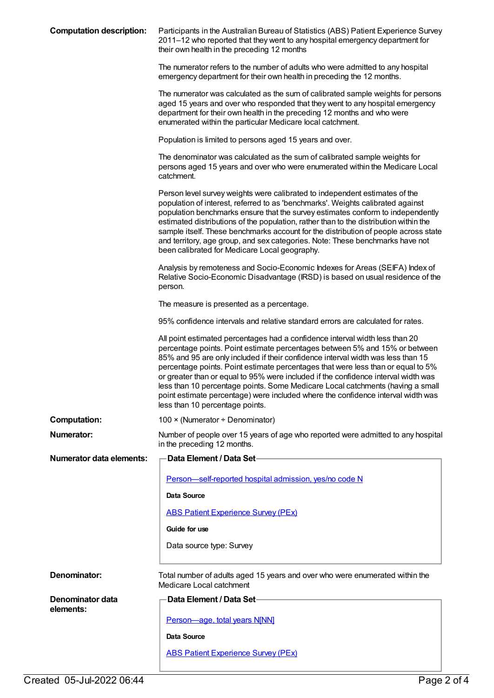| <b>Computation description:</b> | Participants in the Australian Bureau of Statistics (ABS) Patient Experience Survey<br>2011-12 who reported that they went to any hospital emergency department for<br>their own health in the preceding 12 months                                                                                                                                                                                                                                                                                                                                                                                                                 |
|---------------------------------|------------------------------------------------------------------------------------------------------------------------------------------------------------------------------------------------------------------------------------------------------------------------------------------------------------------------------------------------------------------------------------------------------------------------------------------------------------------------------------------------------------------------------------------------------------------------------------------------------------------------------------|
|                                 | The numerator refers to the number of adults who were admitted to any hospital<br>emergency department for their own health in preceding the 12 months.                                                                                                                                                                                                                                                                                                                                                                                                                                                                            |
|                                 | The numerator was calculated as the sum of calibrated sample weights for persons<br>aged 15 years and over who responded that they went to any hospital emergency<br>department for their own health in the preceding 12 months and who were<br>enumerated within the particular Medicare local catchment.                                                                                                                                                                                                                                                                                                                         |
|                                 | Population is limited to persons aged 15 years and over.                                                                                                                                                                                                                                                                                                                                                                                                                                                                                                                                                                           |
|                                 | The denominator was calculated as the sum of calibrated sample weights for<br>persons aged 15 years and over who were enumerated within the Medicare Local<br>catchment.                                                                                                                                                                                                                                                                                                                                                                                                                                                           |
|                                 | Person level survey weights were calibrated to independent estimates of the<br>population of interest, referred to as 'benchmarks'. Weights calibrated against<br>population benchmarks ensure that the survey estimates conform to independently<br>estimated distributions of the population, rather than to the distribution within the<br>sample itself. These benchmarks account for the distribution of people across state<br>and territory, age group, and sex categories. Note: These benchmarks have not<br>been calibrated for Medicare Local geography.                                                                |
|                                 | Analysis by remoteness and Socio-Economic Indexes for Areas (SEIFA) Index of<br>Relative Socio-Economic Disadvantage (IRSD) is based on usual residence of the<br>person.                                                                                                                                                                                                                                                                                                                                                                                                                                                          |
|                                 | The measure is presented as a percentage.                                                                                                                                                                                                                                                                                                                                                                                                                                                                                                                                                                                          |
|                                 | 95% confidence intervals and relative standard errors are calculated for rates.                                                                                                                                                                                                                                                                                                                                                                                                                                                                                                                                                    |
|                                 | All point estimated percentages had a confidence interval width less than 20<br>percentage points. Point estimate percentages between 5% and 15% or between<br>85% and 95 are only included if their confidence interval width was less than 15<br>percentage points. Point estimate percentages that were less than or equal to 5%<br>or greater than or equal to 95% were included if the confidence interval width was<br>less than 10 percentage points. Some Medicare Local catchments (having a small<br>point estimate percentage) were included where the confidence interval width was<br>less than 10 percentage points. |
| <b>Computation:</b>             | 100 × (Numerator ÷ Denominator)                                                                                                                                                                                                                                                                                                                                                                                                                                                                                                                                                                                                    |
| <b>Numerator:</b>               | Number of people over 15 years of age who reported were admitted to any hospital<br>in the preceding 12 months.                                                                                                                                                                                                                                                                                                                                                                                                                                                                                                                    |
| <b>Numerator data elements:</b> | Data Element / Data Set-                                                                                                                                                                                                                                                                                                                                                                                                                                                                                                                                                                                                           |
|                                 | Person-self-reported hospital admission, yes/no code N                                                                                                                                                                                                                                                                                                                                                                                                                                                                                                                                                                             |
|                                 | Data Source                                                                                                                                                                                                                                                                                                                                                                                                                                                                                                                                                                                                                        |
|                                 | <b>ABS Patient Experience Survey (PEx)</b>                                                                                                                                                                                                                                                                                                                                                                                                                                                                                                                                                                                         |
|                                 | Guide for use                                                                                                                                                                                                                                                                                                                                                                                                                                                                                                                                                                                                                      |
|                                 | Data source type: Survey                                                                                                                                                                                                                                                                                                                                                                                                                                                                                                                                                                                                           |
| Denominator:                    | Total number of adults aged 15 years and over who were enumerated within the<br>Medicare Local catchment                                                                                                                                                                                                                                                                                                                                                                                                                                                                                                                           |
| Denominator data                | <b>Data Element / Data Set-</b>                                                                                                                                                                                                                                                                                                                                                                                                                                                                                                                                                                                                    |
| elements:                       | Person-age, total years N[NN]                                                                                                                                                                                                                                                                                                                                                                                                                                                                                                                                                                                                      |
|                                 | Data Source                                                                                                                                                                                                                                                                                                                                                                                                                                                                                                                                                                                                                        |
|                                 | <b>ABS Patient Experience Survey (PEx)</b>                                                                                                                                                                                                                                                                                                                                                                                                                                                                                                                                                                                         |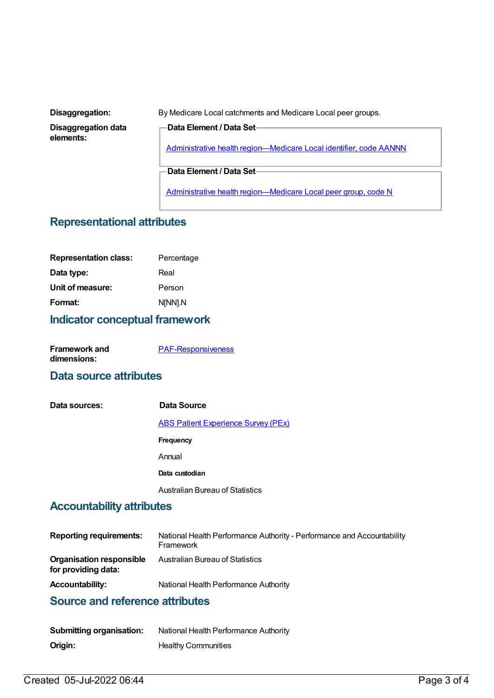**Disaggregation data elements:**

**Disaggregation:** By Medicare Local catchments and Medicare Local peer groups.

Administrative health [region—Medicare](https://meteor.aihw.gov.au/content/513288) Local identifier, code AANNN

**Data Element / Data Set**

**Data Element / Data Set**

Administrative health [region—Medicare](https://meteor.aihw.gov.au/content/550733) Local peer group, code N

#### **Representational attributes**

| <b>Representation class:</b> | Percentage |
|------------------------------|------------|
| Data type:                   | Real       |
| Unit of measure:             | Person     |
| Format:                      | N[NN].N    |

### **Indicator conceptual framework**

| <b>Framework and</b> | <b>PAF-Responsiveness</b> |
|----------------------|---------------------------|
| dimensions:          |                           |

#### **Data source attributes**

| Data sources: | Data Source                                |
|---------------|--------------------------------------------|
|               | <b>ABS Patient Experience Survey (PEx)</b> |
|               | Frequency                                  |
|               | Annual                                     |
|               | Data custodian                             |
|               | <b>Australian Bureau of Statistics</b>     |

#### **Accountability attributes**

| <b>Reporting requirements:</b>                         | National Health Performance Authority - Performance and Accountability<br>Framework |
|--------------------------------------------------------|-------------------------------------------------------------------------------------|
| <b>Organisation responsible</b><br>for providing data: | Australian Bureau of Statistics                                                     |
| <b>Accountability:</b>                                 | National Health Performance Authority                                               |

## **Source and reference attributes**

| <b>Submitting organisation:</b> | National Health Performance Authority |
|---------------------------------|---------------------------------------|
| Origin:                         | <b>Healthy Communities</b>            |